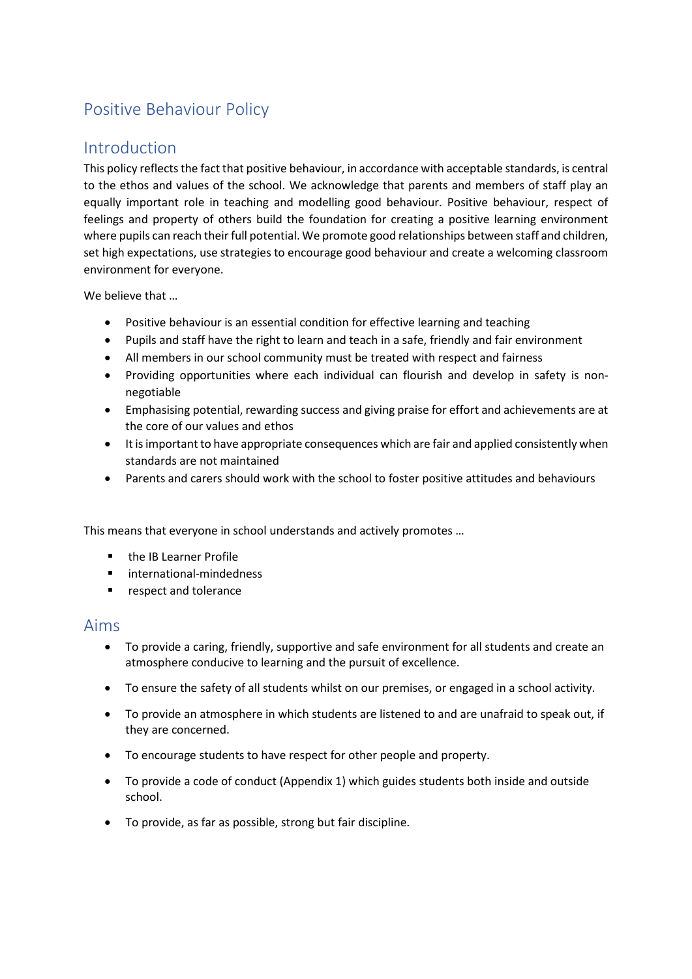# Positive Behaviour Policy

## Introduction

This policy reflects the fact that positive behaviour, in accordance with acceptable standards, is central to the ethos and values of the school. We acknowledge that parents and members of staff play an equally important role in teaching and modelling good behaviour. Positive behaviour, respect of feelings and property of others build the foundation for creating a positive learning environment where pupils can reach their full potential. We promote good relationships between staff and children, set high expectations, use strategies to encourage good behaviour and create a welcoming classroom environment for everyone.

We believe that …

- Positive behaviour is an essential condition for effective learning and teaching
- Pupils and staff have the right to learn and teach in a safe, friendly and fair environment
- All members in our school community must be treated with respect and fairness
- Providing opportunities where each individual can flourish and develop in safety is nonnegotiable
- Emphasising potential, rewarding success and giving praise for effort and achievements are at the core of our values and ethos
- It is important to have appropriate consequences which are fair and applied consistently when standards are not maintained
- Parents and carers should work with the school to foster positive attitudes and behaviours

This means that everyone in school understands and actively promotes …

- **•** the IB Learner Profile
- **u** international-mindedness
- **F** respect and tolerance

### Aims

- To provide a caring, friendly, supportive and safe environment for all students and create an atmosphere conducive to learning and the pursuit of excellence.
- To ensure the safety of all students whilst on our premises, or engaged in a school activity.
- To provide an atmosphere in which students are listened to and are unafraid to speak out, if they are concerned.
- To encourage students to have respect for other people and property.
- To provide a code of conduct (Appendix 1) which guides students both inside and outside school.
- To provide, as far as possible, strong but fair discipline.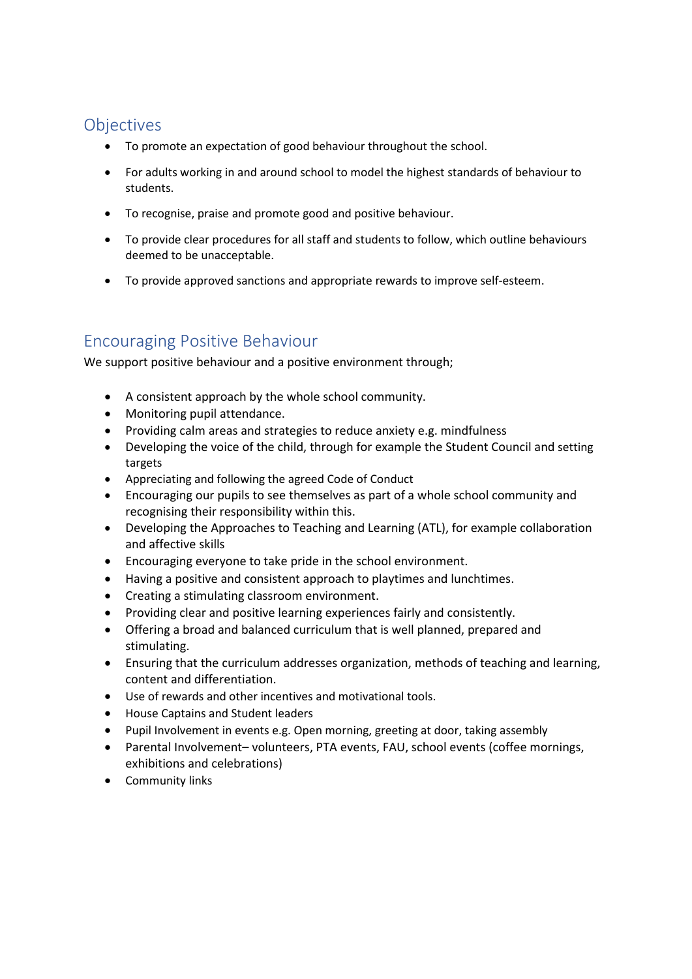# **Objectives**

- To promote an expectation of good behaviour throughout the school.
- For adults working in and around school to model the highest standards of behaviour to students.
- To recognise, praise and promote good and positive behaviour.
- To provide clear procedures for all staff and students to follow, which outline behaviours deemed to be unacceptable.
- To provide approved sanctions and appropriate rewards to improve self-esteem.

# Encouraging Positive Behaviour

We support positive behaviour and a positive environment through;

- A consistent approach by the whole school community.
- Monitoring pupil attendance.
- Providing calm areas and strategies to reduce anxiety e.g. mindfulness
- Developing the voice of the child, through for example the Student Council and setting targets
- Appreciating and following the agreed Code of Conduct
- Encouraging our pupils to see themselves as part of a whole school community and recognising their responsibility within this.
- Developing the Approaches to Teaching and Learning (ATL), for example collaboration and affective skills
- Encouraging everyone to take pride in the school environment.
- Having a positive and consistent approach to playtimes and lunchtimes.
- Creating a stimulating classroom environment.
- Providing clear and positive learning experiences fairly and consistently.
- Offering a broad and balanced curriculum that is well planned, prepared and stimulating.
- Ensuring that the curriculum addresses organization, methods of teaching and learning, content and differentiation.
- Use of rewards and other incentives and motivational tools.
- House Captains and Student leaders
- Pupil Involvement in events e.g. Open morning, greeting at door, taking assembly
- Parental Involvement– volunteers, PTA events, FAU, school events (coffee mornings, exhibitions and celebrations)
- Community links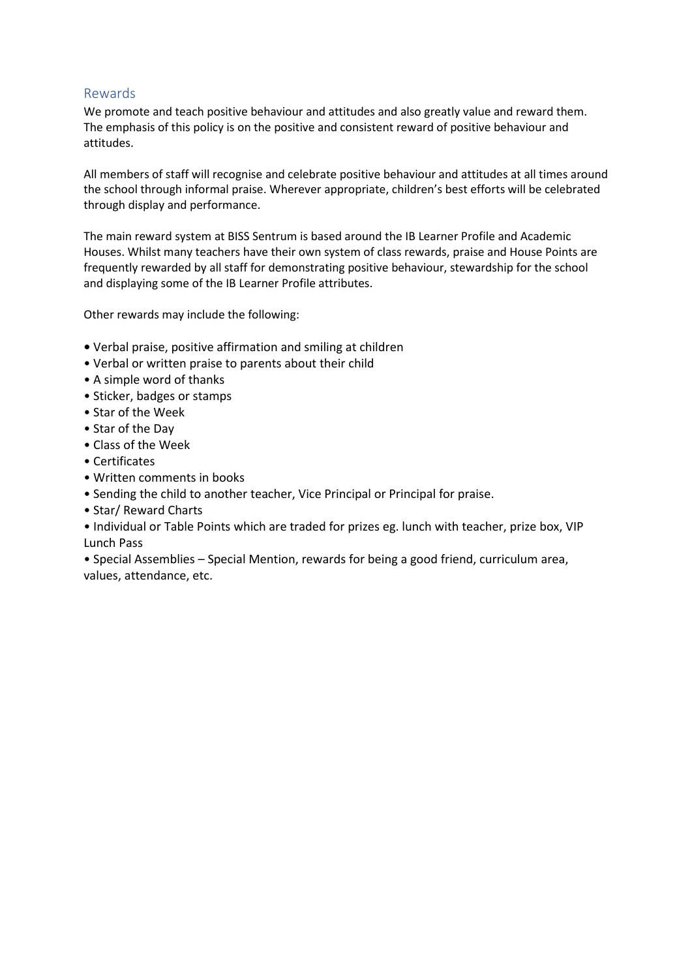#### Rewards

We promote and teach positive behaviour and attitudes and also greatly value and reward them. The emphasis of this policy is on the positive and consistent reward of positive behaviour and attitudes.

All members of staff will recognise and celebrate positive behaviour and attitudes at all times around the school through informal praise. Wherever appropriate, children's best efforts will be celebrated through display and performance.

The main reward system at BISS Sentrum is based around the IB Learner Profile and Academic Houses. Whilst many teachers have their own system of class rewards, praise and House Points are frequently rewarded by all staff for demonstrating positive behaviour, stewardship for the school and displaying some of the IB Learner Profile attributes.

Other rewards may include the following:

- Verbal praise, positive affirmation and smiling at children
- Verbal or written praise to parents about their child
- A simple word of thanks
- Sticker, badges or stamps
- Star of the Week
- Star of the Day
- Class of the Week
- Certificates
- Written comments in books
- Sending the child to another teacher, Vice Principal or Principal for praise.
- Star/ Reward Charts
- Individual or Table Points which are traded for prizes eg. lunch with teacher, prize box, VIP Lunch Pass

• Special Assemblies – Special Mention, rewards for being a good friend, curriculum area, values, attendance, etc.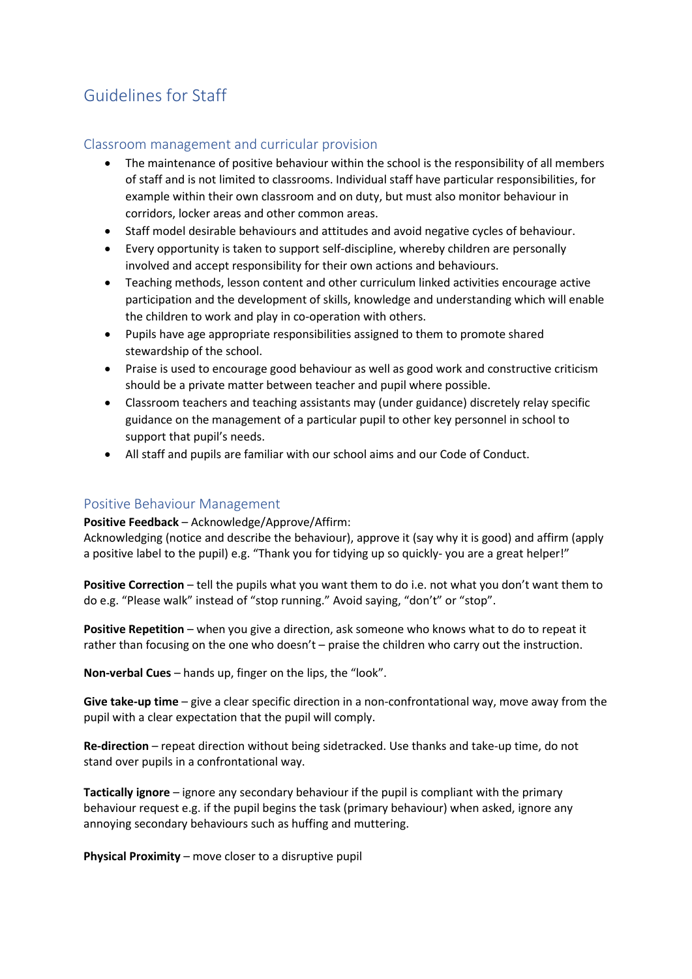# Guidelines for Staff

### Classroom management and curricular provision

- The maintenance of positive behaviour within the school is the responsibility of all members of staff and is not limited to classrooms. Individual staff have particular responsibilities, for example within their own classroom and on duty, but must also monitor behaviour in corridors, locker areas and other common areas.
- Staff model desirable behaviours and attitudes and avoid negative cycles of behaviour.
- Every opportunity is taken to support self-discipline, whereby children are personally involved and accept responsibility for their own actions and behaviours.
- Teaching methods, lesson content and other curriculum linked activities encourage active participation and the development of skills, knowledge and understanding which will enable the children to work and play in co-operation with others.
- Pupils have age appropriate responsibilities assigned to them to promote shared stewardship of the school.
- Praise is used to encourage good behaviour as well as good work and constructive criticism should be a private matter between teacher and pupil where possible.
- Classroom teachers and teaching assistants may (under guidance) discretely relay specific guidance on the management of a particular pupil to other key personnel in school to support that pupil's needs.
- All staff and pupils are familiar with our school aims and our Code of Conduct.

#### Positive Behaviour Management

**Positive Feedback** – Acknowledge/Approve/Affirm:

Acknowledging (notice and describe the behaviour), approve it (say why it is good) and affirm (apply a positive label to the pupil) e.g. "Thank you for tidying up so quickly- you are a great helper!"

**Positive Correction** – tell the pupils what you want them to do i.e. not what you don't want them to do e.g. "Please walk" instead of "stop running." Avoid saying, "don't" or "stop".

**Positive Repetition** – when you give a direction, ask someone who knows what to do to repeat it rather than focusing on the one who doesn't – praise the children who carry out the instruction.

**Non-verbal Cues** – hands up, finger on the lips, the "look".

**Give take-up time** – give a clear specific direction in a non-confrontational way, move away from the pupil with a clear expectation that the pupil will comply.

**Re-direction** – repeat direction without being sidetracked. Use thanks and take-up time, do not stand over pupils in a confrontational way.

**Tactically ignore** – ignore any secondary behaviour if the pupil is compliant with the primary behaviour request e.g. if the pupil begins the task (primary behaviour) when asked, ignore any annoying secondary behaviours such as huffing and muttering.

**Physical Proximity** – move closer to a disruptive pupil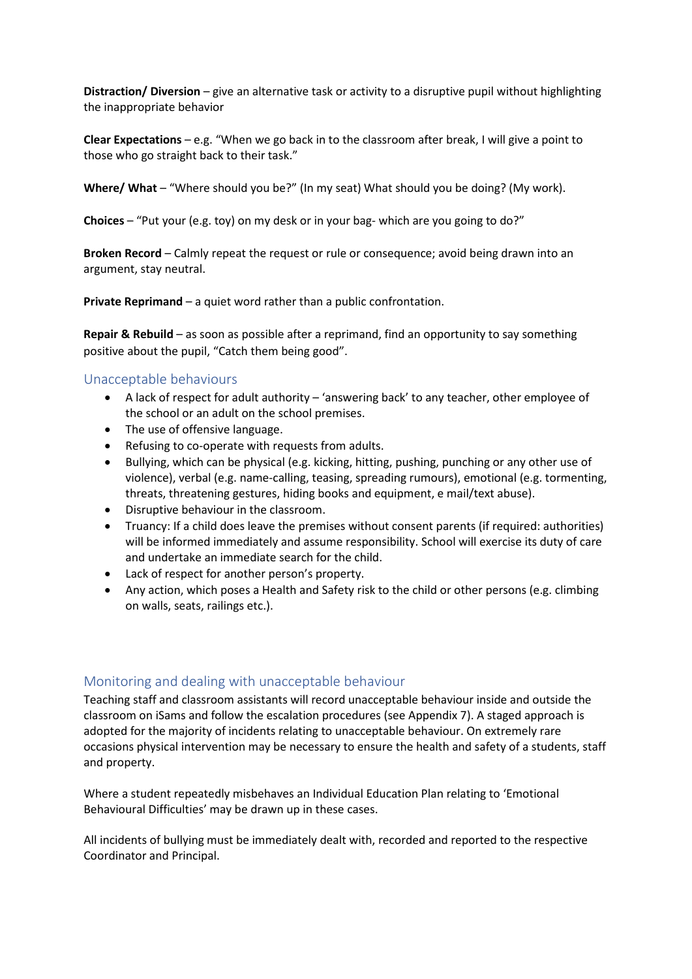**Distraction/ Diversion** – give an alternative task or activity to a disruptive pupil without highlighting the inappropriate behavior

**Clear Expectations** – e.g. "When we go back in to the classroom after break, I will give a point to those who go straight back to their task."

**Where/ What** – "Where should you be?" (In my seat) What should you be doing? (My work).

**Choices** – "Put your (e.g. toy) on my desk or in your bag- which are you going to do?"

**Broken Record** – Calmly repeat the request or rule or consequence; avoid being drawn into an argument, stay neutral.

**Private Reprimand** – a quiet word rather than a public confrontation.

**Repair & Rebuild** – as soon as possible after a reprimand, find an opportunity to say something positive about the pupil, "Catch them being good".

#### Unacceptable behaviours

- A lack of respect for adult authority 'answering back' to any teacher, other employee of the school or an adult on the school premises.
- The use of offensive language.
- Refusing to co-operate with requests from adults.
- Bullying, which can be physical (e.g. kicking, hitting, pushing, punching or any other use of violence), verbal (e.g. name-calling, teasing, spreading rumours), emotional (e.g. tormenting, threats, threatening gestures, hiding books and equipment, e mail/text abuse).
- Disruptive behaviour in the classroom.
- Truancy: If a child does leave the premises without consent parents (if required: authorities) will be informed immediately and assume responsibility. School will exercise its duty of care and undertake an immediate search for the child.
- Lack of respect for another person's property.
- Any action, which poses a Health and Safety risk to the child or other persons (e.g. climbing on walls, seats, railings etc.).

#### Monitoring and dealing with unacceptable behaviour

Teaching staff and classroom assistants will record unacceptable behaviour inside and outside the classroom on iSams and follow the escalation procedures (see Appendix 7). A staged approach is adopted for the majority of incidents relating to unacceptable behaviour. On extremely rare occasions physical intervention may be necessary to ensure the health and safety of a students, staff and property.

Where a student repeatedly misbehaves an Individual Education Plan relating to 'Emotional Behavioural Difficulties' may be drawn up in these cases.

All incidents of bullying must be immediately dealt with, recorded and reported to the respective Coordinator and Principal.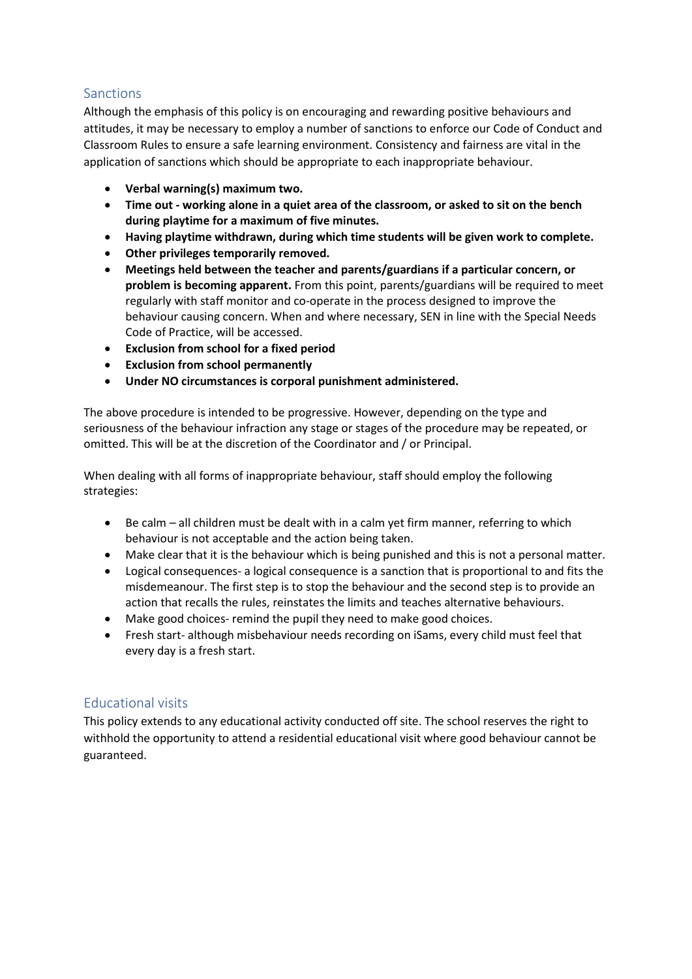### Sanctions

Although the emphasis of this policy is on encouraging and rewarding positive behaviours and attitudes, it may be necessary to employ a number of sanctions to enforce our Code of Conduct and Classroom Rules to ensure a safe learning environment. Consistency and fairness are vital in the application of sanctions which should be appropriate to each inappropriate behaviour.

- **Verbal warning(s) maximum two.**
- **Time out - working alone in a quiet area of the classroom, or asked to sit on the bench during playtime for a maximum of five minutes.**
- **Having playtime withdrawn, during which time students will be given work to complete.**
- **Other privileges temporarily removed.**
- **Meetings held between the teacher and parents/guardians if a particular concern, or problem is becoming apparent.** From this point, parents/guardians will be required to meet regularly with staff monitor and co-operate in the process designed to improve the behaviour causing concern. When and where necessary, SEN in line with the Special Needs Code of Practice, will be accessed.
- **Exclusion from school for a fixed period**
- **Exclusion from school permanently**
- **Under NO circumstances is corporal punishment administered.**

The above procedure is intended to be progressive. However, depending on the type and seriousness of the behaviour infraction any stage or stages of the procedure may be repeated, or omitted. This will be at the discretion of the Coordinator and / or Principal.

When dealing with all forms of inappropriate behaviour, staff should employ the following strategies:

- Be calm all children must be dealt with in a calm yet firm manner, referring to which behaviour is not acceptable and the action being taken.
- Make clear that it is the behaviour which is being punished and this is not a personal matter.
- Logical consequences- a logical consequence is a sanction that is proportional to and fits the misdemeanour. The first step is to stop the behaviour and the second step is to provide an action that recalls the rules, reinstates the limits and teaches alternative behaviours.
- Make good choices- remind the pupil they need to make good choices.
- Fresh start- although misbehaviour needs recording on iSams, every child must feel that every day is a fresh start.

#### Educational visits

This policy extends to any educational activity conducted off site. The school reserves the right to withhold the opportunity to attend a residential educational visit where good behaviour cannot be guaranteed.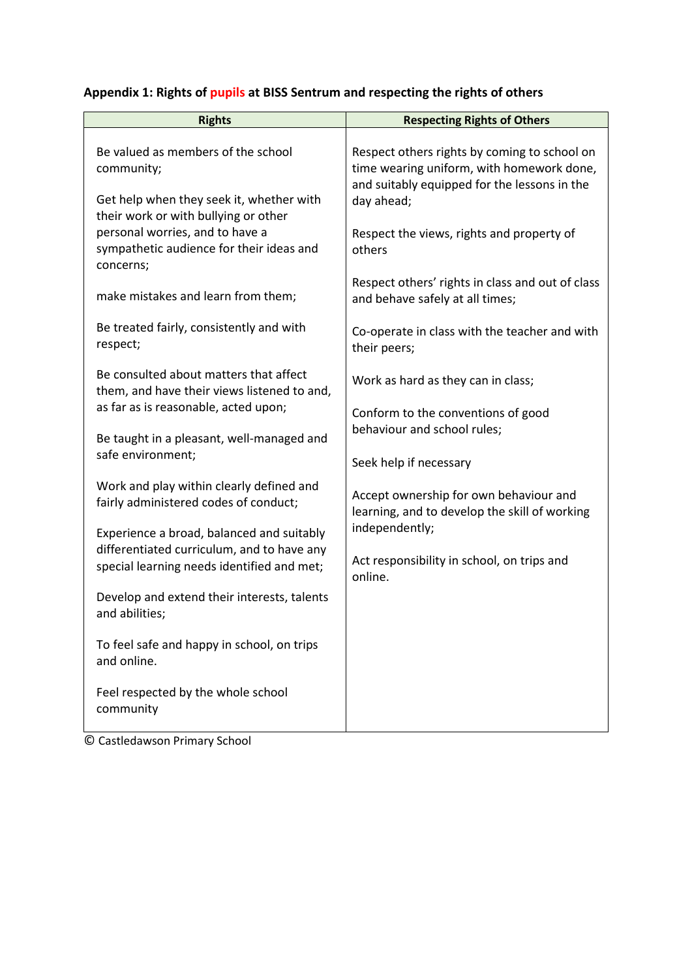| <b>Rights</b>                                                                                                                        | <b>Respecting Rights of Others</b>                                                                                                                      |
|--------------------------------------------------------------------------------------------------------------------------------------|---------------------------------------------------------------------------------------------------------------------------------------------------------|
| Be valued as members of the school<br>community;<br>Get help when they seek it, whether with<br>their work or with bullying or other | Respect others rights by coming to school on<br>time wearing uniform, with homework done,<br>and suitably equipped for the lessons in the<br>day ahead; |
| personal worries, and to have a<br>sympathetic audience for their ideas and<br>concerns;                                             | Respect the views, rights and property of<br>others                                                                                                     |
| make mistakes and learn from them;                                                                                                   | Respect others' rights in class and out of class<br>and behave safely at all times;                                                                     |
| Be treated fairly, consistently and with<br>respect;                                                                                 | Co-operate in class with the teacher and with<br>their peers;                                                                                           |
| Be consulted about matters that affect<br>them, and have their views listened to and,                                                | Work as hard as they can in class;                                                                                                                      |
| as far as is reasonable, acted upon;<br>Be taught in a pleasant, well-managed and<br>safe environment;                               | Conform to the conventions of good<br>behaviour and school rules;<br>Seek help if necessary                                                             |
| Work and play within clearly defined and<br>fairly administered codes of conduct;                                                    | Accept ownership for own behaviour and<br>learning, and to develop the skill of working                                                                 |
| Experience a broad, balanced and suitably                                                                                            | independently;                                                                                                                                          |
| differentiated curriculum, and to have any<br>special learning needs identified and met;                                             | Act responsibility in school, on trips and<br>online.                                                                                                   |
| Develop and extend their interests, talents<br>and abilities;                                                                        |                                                                                                                                                         |
| To feel safe and happy in school, on trips<br>and online.                                                                            |                                                                                                                                                         |
| Feel respected by the whole school<br>community                                                                                      |                                                                                                                                                         |

# **Appendix 1: Rights of pupils at BISS Sentrum and respecting the rights of others**

© Castledawson Primary School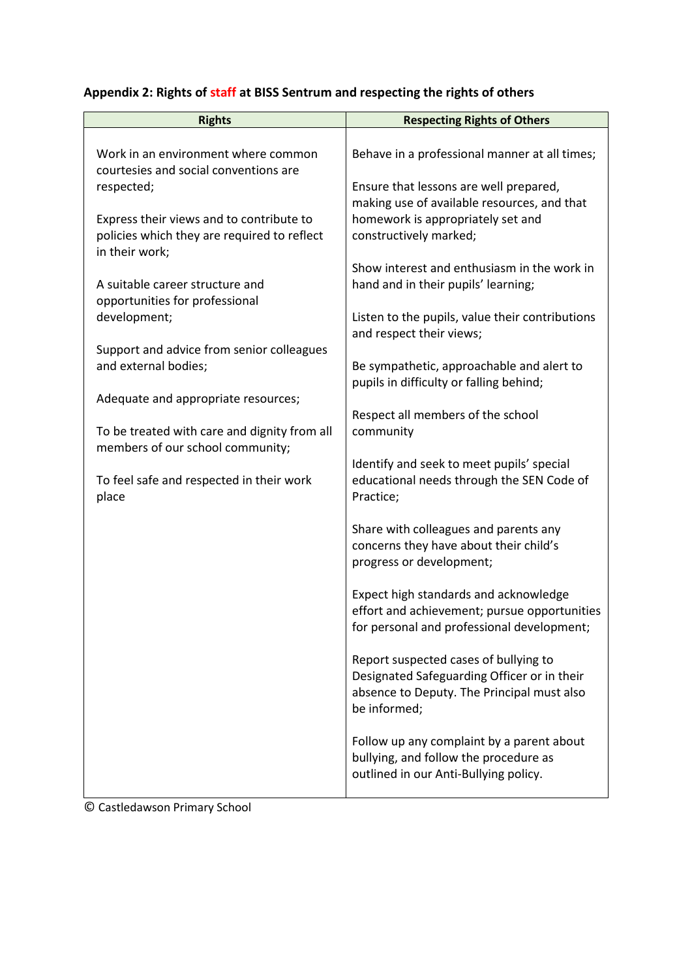| <b>Rights</b>                                                                                             | <b>Respecting Rights of Others</b>                                                                                                                 |
|-----------------------------------------------------------------------------------------------------------|----------------------------------------------------------------------------------------------------------------------------------------------------|
| Work in an environment where common<br>courtesies and social conventions are                              | Behave in a professional manner at all times;                                                                                                      |
| respected;                                                                                                | Ensure that lessons are well prepared,<br>making use of available resources, and that                                                              |
| Express their views and to contribute to<br>policies which they are required to reflect<br>in their work; | homework is appropriately set and<br>constructively marked;                                                                                        |
| A suitable career structure and<br>opportunities for professional                                         | Show interest and enthusiasm in the work in<br>hand and in their pupils' learning;                                                                 |
| development;                                                                                              | Listen to the pupils, value their contributions<br>and respect their views;                                                                        |
| Support and advice from senior colleagues<br>and external bodies;<br>Adequate and appropriate resources;  | Be sympathetic, approachable and alert to<br>pupils in difficulty or falling behind;                                                               |
| To be treated with care and dignity from all<br>members of our school community;                          | Respect all members of the school<br>community                                                                                                     |
| To feel safe and respected in their work<br>place                                                         | Identify and seek to meet pupils' special<br>educational needs through the SEN Code of<br>Practice;                                                |
|                                                                                                           | Share with colleagues and parents any<br>concerns they have about their child's<br>progress or development;                                        |
|                                                                                                           | Expect high standards and acknowledge<br>effort and achievement; pursue opportunities<br>for personal and professional development;                |
|                                                                                                           | Report suspected cases of bullying to<br>Designated Safeguarding Officer or in their<br>absence to Deputy. The Principal must also<br>be informed; |
|                                                                                                           | Follow up any complaint by a parent about<br>bullying, and follow the procedure as<br>outlined in our Anti-Bullying policy.                        |

# **Appendix 2: Rights of staff at BISS Sentrum and respecting the rights of others**

© Castledawson Primary School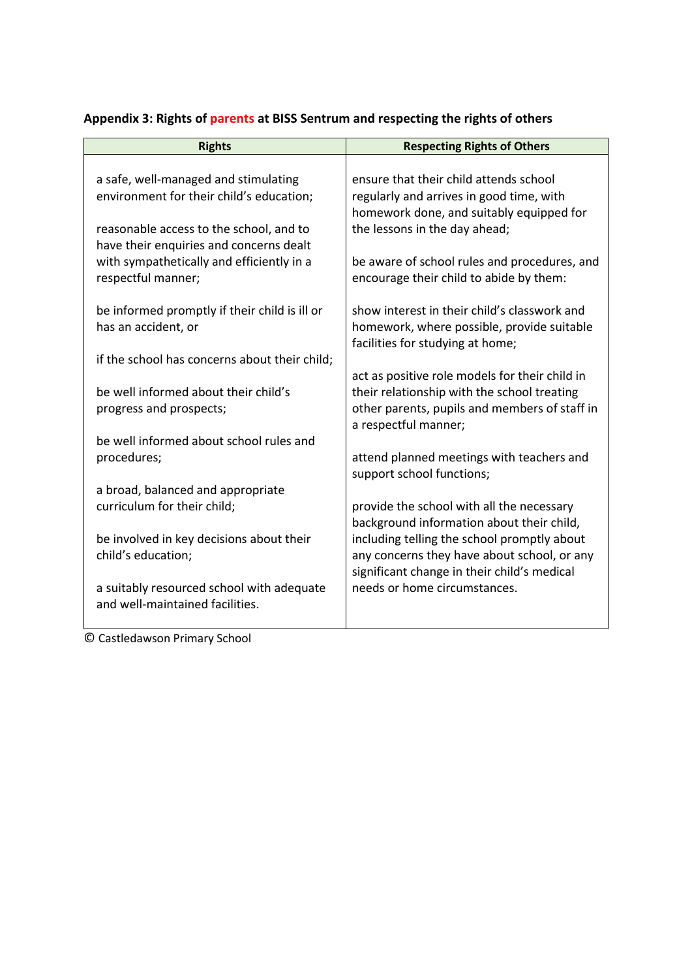| a safe, well-managed and stimulating<br>ensure that their child attends school<br>environment for their child's education;<br>regularly and arrives in good time, with<br>homework done, and suitably equipped for<br>the lessons in the day ahead;<br>reasonable access to the school, and to<br>have their enquiries and concerns dealt<br>with sympathetically and efficiently in a<br>be aware of school rules and procedures, and<br>respectful manner;<br>encourage their child to abide by them:<br>be informed promptly if their child is ill or<br>show interest in their child's classwork and<br>has an accident, or<br>homework, where possible, provide suitable<br>facilities for studying at home;<br>if the school has concerns about their child;<br>act as positive role models for their child in<br>be well informed about their child's<br>their relationship with the school treating<br>other parents, pupils and members of staff in<br>progress and prospects;<br>a respectful manner;<br>be well informed about school rules and<br>procedures;<br>attend planned meetings with teachers and<br>support school functions;<br>a broad, balanced and appropriate<br>curriculum for their child;<br>provide the school with all the necessary<br>background information about their child,<br>including telling the school promptly about<br>be involved in key decisions about their<br>child's education;<br>any concerns they have about school, or any<br>significant change in their child's medical<br>a suitably resourced school with adequate<br>needs or home circumstances.<br>and well-maintained facilities. | <b>Rights</b> | <b>Respecting Rights of Others</b> |
|--------------------------------------------------------------------------------------------------------------------------------------------------------------------------------------------------------------------------------------------------------------------------------------------------------------------------------------------------------------------------------------------------------------------------------------------------------------------------------------------------------------------------------------------------------------------------------------------------------------------------------------------------------------------------------------------------------------------------------------------------------------------------------------------------------------------------------------------------------------------------------------------------------------------------------------------------------------------------------------------------------------------------------------------------------------------------------------------------------------------------------------------------------------------------------------------------------------------------------------------------------------------------------------------------------------------------------------------------------------------------------------------------------------------------------------------------------------------------------------------------------------------------------------------------------------------------------------------------------------------------------------------------|---------------|------------------------------------|
|                                                                                                                                                                                                                                                                                                                                                                                                                                                                                                                                                                                                                                                                                                                                                                                                                                                                                                                                                                                                                                                                                                                                                                                                                                                                                                                                                                                                                                                                                                                                                                                                                                                  |               |                                    |
|                                                                                                                                                                                                                                                                                                                                                                                                                                                                                                                                                                                                                                                                                                                                                                                                                                                                                                                                                                                                                                                                                                                                                                                                                                                                                                                                                                                                                                                                                                                                                                                                                                                  |               |                                    |

## **Appendix 3: Rights of parents at BISS Sentrum and respecting the rights of others**

© Castledawson Primary School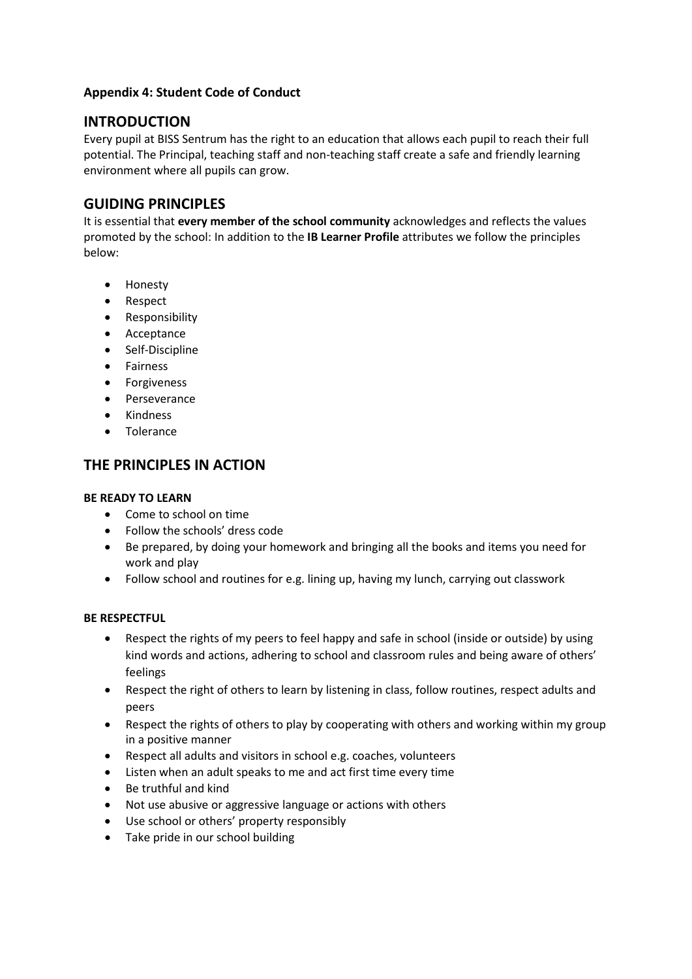### **Appendix 4: Student Code of Conduct**

### **INTRODUCTION**

Every pupil at BISS Sentrum has the right to an education that allows each pupil to reach their full potential. The Principal, teaching staff and non-teaching staff create a safe and friendly learning environment where all pupils can grow.

## **GUIDING PRINCIPLES**

It is essential that **every member of the school community** acknowledges and reflects the values promoted by the school: In addition to the **IB Learner Profile** attributes we follow the principles below:

- Honesty
- Respect
- Responsibility
- Acceptance
- Self-Discipline
- Fairness
- Forgiveness
- Perseverance
- Kindness
- Tolerance

## **THE PRINCIPLES IN ACTION**

#### **BE READY TO LEARN**

- Come to school on time
- Follow the schools' dress code
- Be prepared, by doing your homework and bringing all the books and items you need for work and play
- Follow school and routines for e.g. lining up, having my lunch, carrying out classwork

#### **BE RESPECTFUL**

- Respect the rights of my peers to feel happy and safe in school (inside or outside) by using kind words and actions, adhering to school and classroom rules and being aware of others' feelings
- Respect the right of others to learn by listening in class, follow routines, respect adults and peers
- Respect the rights of others to play by cooperating with others and working within my group in a positive manner
- Respect all adults and visitors in school e.g. coaches, volunteers
- Listen when an adult speaks to me and act first time every time
- Be truthful and kind
- Not use abusive or aggressive language or actions with others
- Use school or others' property responsibly
- Take pride in our school building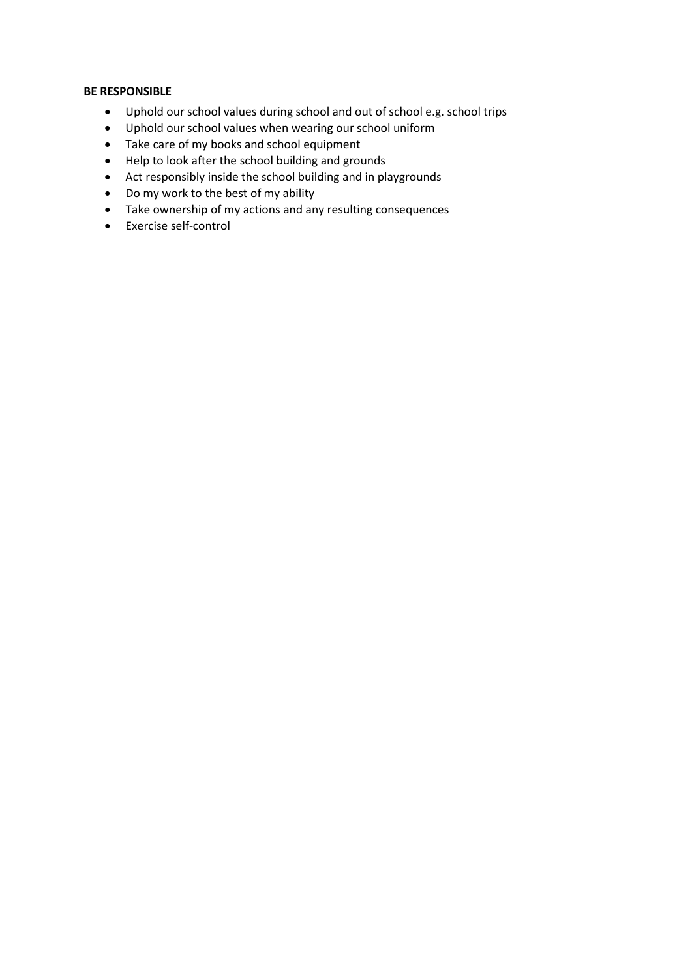#### **BE RESPONSIBLE**

- Uphold our school values during school and out of school e.g. school trips
- Uphold our school values when wearing our school uniform
- Take care of my books and school equipment
- Help to look after the school building and grounds
- Act responsibly inside the school building and in playgrounds
- Do my work to the best of my ability
- Take ownership of my actions and any resulting consequences
- Exercise self-control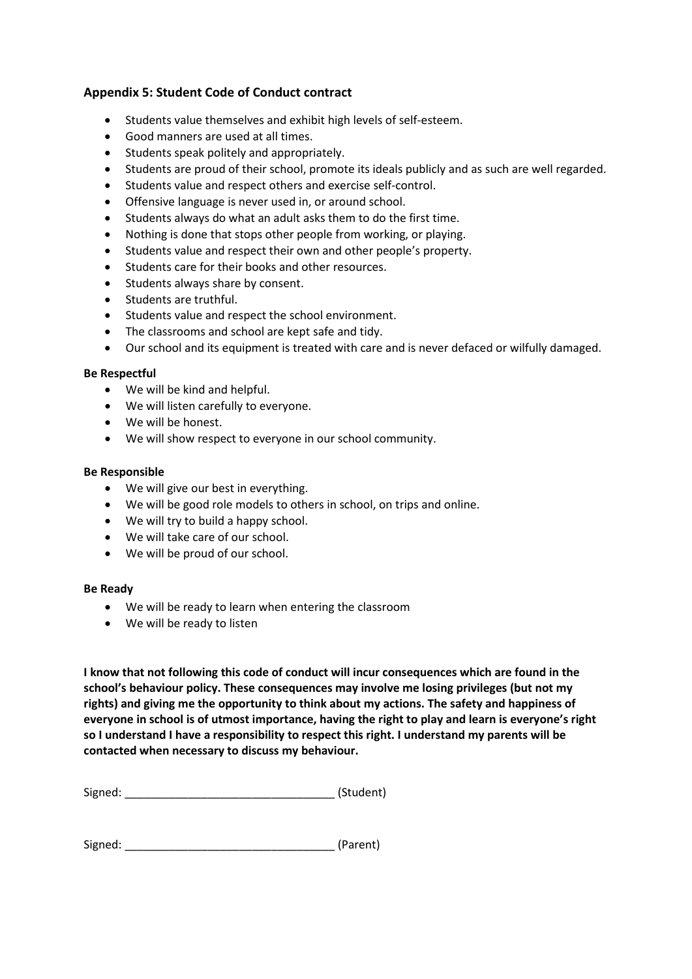### **Appendix 5: Student Code of Conduct contract**

- Students value themselves and exhibit high levels of self-esteem.
- Good manners are used at all times.
- Students speak politely and appropriately.
- Students are proud of their school, promote its ideals publicly and as such are well regarded.
- Students value and respect others and exercise self-control.
- Offensive language is never used in, or around school.
- Students always do what an adult asks them to do the first time.
- Nothing is done that stops other people from working, or playing.
- Students value and respect their own and other people's property.
- Students care for their books and other resources.
- Students always share by consent.
- Students are truthful.
- Students value and respect the school environment.
- The classrooms and school are kept safe and tidy.
- Our school and its equipment is treated with care and is never defaced or wilfully damaged.

#### **Be Respectful**

- We will be kind and helpful.
- We will listen carefully to everyone.
- We will be honest.
- We will show respect to everyone in our school community.

#### **Be Responsible**

- We will give our best in everything.
- We will be good role models to others in school, on trips and online.
- We will try to build a happy school.
- We will take care of our school.
- We will be proud of our school.

#### **Be Ready**

- We will be ready to learn when entering the classroom
- We will be ready to listen

**I know that not following this code of conduct will incur consequences which are found in the school's behaviour policy. These consequences may involve me losing privileges (but not my rights) and giving me the opportunity to think about my actions. The safety and happiness of everyone in school is of utmost importance, having the right to play and learn is everyone's right so I understand I have a responsibility to respect this right. I understand my parents will be contacted when necessary to discuss my behaviour.** 

Signed: \_\_\_\_\_\_\_\_\_\_\_\_\_\_\_\_\_\_\_\_\_\_\_\_\_\_\_\_\_\_\_\_\_ (Student)

Signed: \_\_\_\_\_\_\_\_\_\_\_\_\_\_\_\_\_\_\_\_\_\_\_\_\_\_\_\_\_\_\_\_\_ (Parent)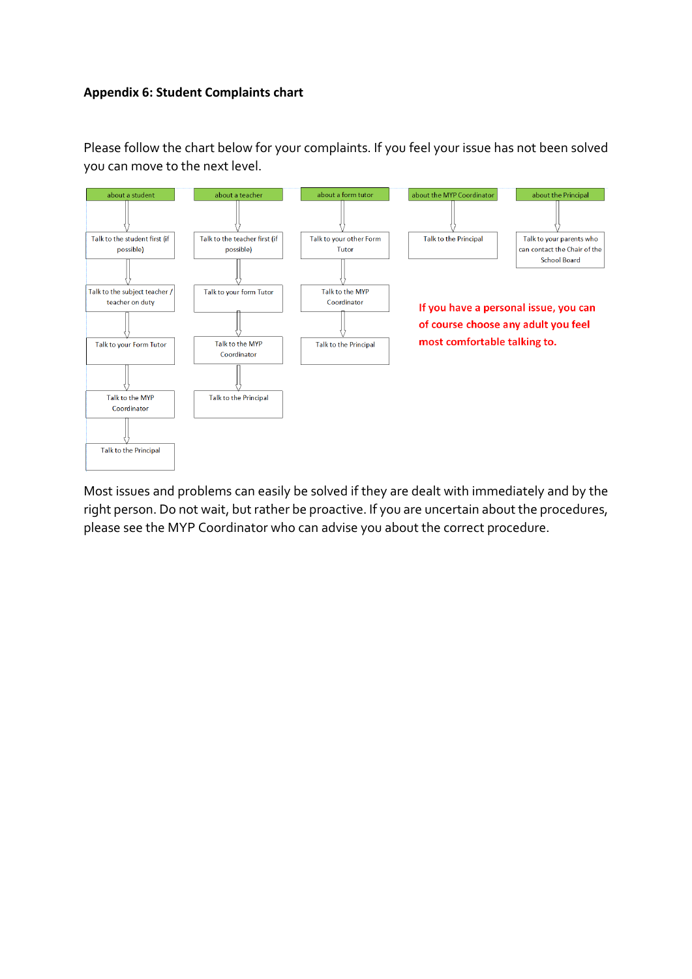### **Appendix 6: Student Complaints chart**

Please follow the chart below for your complaints. If you feel your issue has not been solved you can move to the next level.



Most issues and problems can easily be solved if they are dealt with immediately and by the right person. Do not wait, but rather be proactive. If you are uncertain about the procedures, please see the MYP Coordinator who can advise you about the correct procedure.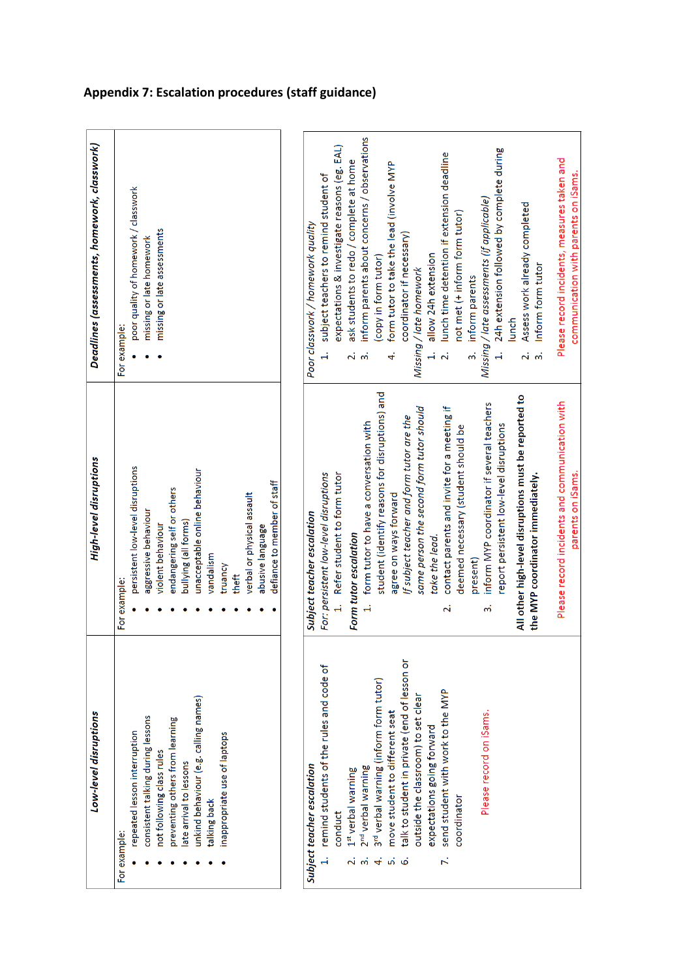| Low-level disruptions                                           | High-level disruptions                                      | Deadlines (assessments, homework, classwork)                       |
|-----------------------------------------------------------------|-------------------------------------------------------------|--------------------------------------------------------------------|
| For example:                                                    | For example:                                                | For example:                                                       |
| repeated lesson interruption                                    | persistent low-level disruptions                            | poor quality of homework / classwork                               |
| consistent talking during lessons                               | aggressive behaviour                                        | missing or late homework                                           |
| not following class rules                                       | violent behaviour                                           | missing or late assessments                                        |
| preventing others from learning                                 | endangering self or others                                  |                                                                    |
| late arrival to lessons                                         | bullying (all forms)                                        |                                                                    |
| unkind behaviour (e.g. calling names)                           | unacceptable online behaviour                               |                                                                    |
| talking back                                                    | vandalism                                                   |                                                                    |
| inappropriate use of laptops                                    | truancy                                                     |                                                                    |
|                                                                 | theft                                                       |                                                                    |
|                                                                 | verbal or physical assault                                  |                                                                    |
|                                                                 | abusive language                                            |                                                                    |
|                                                                 | defiance to member of staff                                 |                                                                    |
|                                                                 |                                                             |                                                                    |
| Subject teacher escalation                                      | Subject teacher escalation                                  | Poor classwork / homework quality                                  |
| remind students of the rules and code of<br>$\ddot{a}$          | For: persistent low-level disruptions                       | subject teachers to remind student of<br>$\ddot{ }$                |
| conduct                                                         | Refer student to form tutor                                 | expectations & investigate reasons (eg. EAL)                       |
| 1st verbal warning<br>$\overline{\mathbf{v}}$                   | Form tutor escalation                                       | ask students to redo / complete at home<br>$\overline{\mathbf{r}}$ |
| 2 <sup>nd</sup> verbal warning<br>$\vec{\omega}$                | form tutor to have a conversation with<br>å                 | inform parents about concerns / observations<br>$\vec{ }$          |
| 3 <sup>rd</sup> verbal warning (inform form tutor)<br>$\vec{r}$ | student (identify reasons for disruptions) and              | (copy in form tutor)                                               |
| move student to different seat<br>ъĵ                            | agree on ways forward                                       | form tutor to take the lead (involve MYP<br>$\vec{r}$              |
| talk to student in private (end of lesson or<br>Ġ.              | If subject teacher and form tutor are the                   | coordinator if necessary)                                          |
| outside the classroom) to set clear                             | same person the second form tutor should                    | Missing / late homework                                            |
| expectations going forward                                      | take the lead.                                              | allow 24h extension<br>$\ddot{ }$                                  |
| send student with work to the MYP<br>$\vec{r}$                  | contact parents and invite for a meeting if<br>$\mathbf{z}$ | lunch time detention if extension deadline<br>$\mathbf{z}$         |
| coordinator                                                     | deemed necessary (student should be                         | not met (+ inform form tutor)                                      |
|                                                                 | present)                                                    | inform parents<br>$\dot{5}$                                        |
| Please record on iSams.                                         | inform MYP coordinator if several teachers<br>ഩൎ            | Missing / late assessments (if applicable)                         |
|                                                                 | report persistent low-level disruptions                     | 24h extension followed by complete during                          |
|                                                                 | All other high-level disruptions must be reported to        | lunch                                                              |
|                                                                 | the MYP coordinator immediately.                            | Assess work already completed<br>Inform form tutor<br><u>പ്</u> ന് |
|                                                                 | Please record incidents and communication with              | Please record incidents, measures taken and                        |
|                                                                 | parents on iSams.                                           | communication with parents on iSams.                               |

# **Appendix 7: Escalation procedures (staff guidance)**